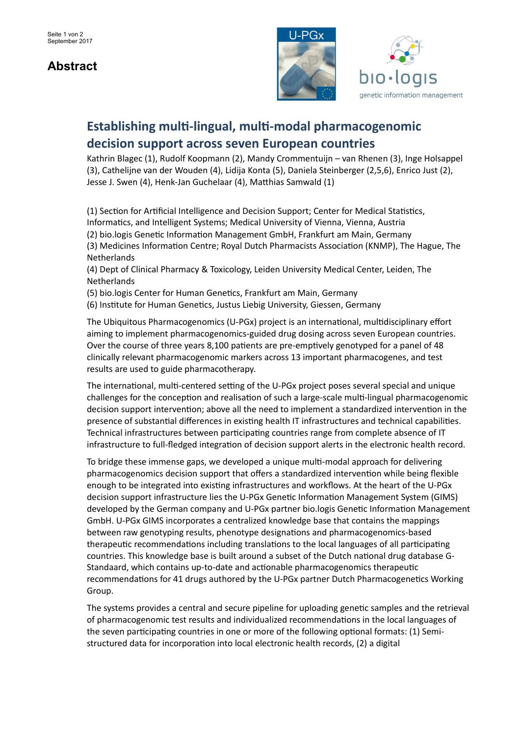## **Abstract**





## **Establishing multi-lingual, multi-modal pharmacogenomic decision support across seven European countries**

Kathrin Blagec (1), Rudolf Koopmann (2), Mandy Crommentuijn – van Rhenen (3), Inge Holsappel (3), Cathelijne van der Wouden (4), Lidija Konta (5), Daniela Steinberger (2,5,6), Enrico Just (2), Jesse J. Swen (4), Henk-Jan Guchelaar (4), Matthias Samwald (1)

(1) Section for Artificial Intelligence and Decision Support; Center for Medical Statistics, Informatics, and Intelligent Systems; Medical University of Vienna, Vienna, Austria (2) bio.logis Genetic Information Management GmbH, Frankfurt am Main, Germany (3) Medicines Information Centre; Royal Dutch Pharmacists Association (KNMP), The Hague, The **Netherlands** 

(4) Dept of Clinical Pharmacy & Toxicology, Leiden University Medical Center, Leiden, The Netherlands

(5) bio.logis Center for Human Genetics, Frankfurt am Main, Germany

(6) Institute for Human Genetics, Justus Liebig University, Giessen, Germany

The Ubiquitous Pharmacogenomics (U-PGx) project is an international, multidisciplinary effort aiming to implement pharmacogenomics-guided drug dosing across seven European countries. Over the course of three years 8,100 patients are pre-emptively genotyped for a panel of 48 clinically relevant pharmacogenomic markers across 13 important pharmacogenes, and test results are used to guide pharmacotherapy.

The international, multi-centered setting of the U-PGx project poses several special and unique challenges for the conception and realisation of such a large-scale multi-lingual pharmacogenomic decision support intervention; above all the need to implement a standardized intervention in the presence of substantial differences in existing health IT infrastructures and technical capabilities. Technical infrastructures between participating countries range from complete absence of IT infrastructure to full-fledged integration of decision support alerts in the electronic health record.

To bridge these immense gaps, we developed a unique multi-modal approach for delivering pharmacogenomics decision support that offers a standardized intervention while being flexible enough to be integrated into existing infrastructures and workflows. At the heart of the U-PGx decision support infrastructure lies the U-PGx Genetic Information Management System (GIMS) developed by the German company and U-PGx partner bio.logis Genetic Information Management GmbH. U-PGx GIMS incorporates a centralized knowledge base that contains the mappings between raw genotyping results, phenotype designations and pharmacogenomics-based therapeutic recommendations including translations to the local languages of all participating countries. This knowledge base is built around a subset of the Dutch national drug database G-Standaard, which contains up-to-date and actionable pharmacogenomics therapeutic recommendations for 41 drugs authored by the U-PGx partner Dutch Pharmacogenetics Working Group.

The systems provides a central and secure pipeline for uploading genetic samples and the retrieval of pharmacogenomic test results and individualized recommendations in the local languages of the seven participating countries in one or more of the following optional formats: (1) Semistructured data for incorporation into local electronic health records, (2) a digital